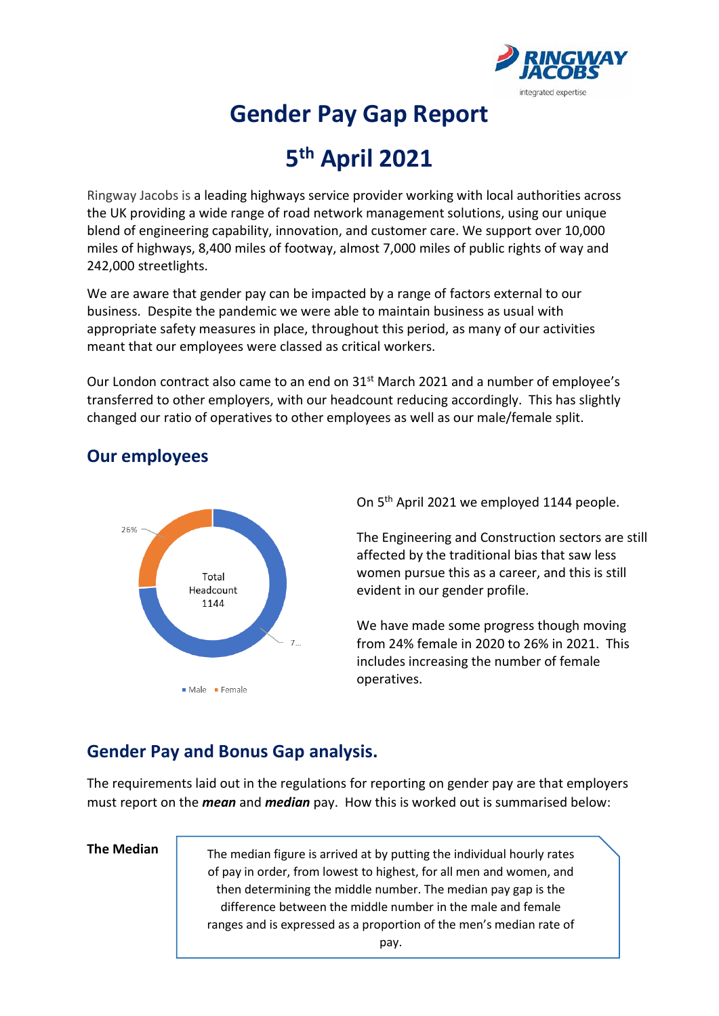

# **Gender Pay Gap Report**

# **5 th April 2021**

Ringway Jacobs is a leading highways service provider working with local authorities across the UK providing a wide range of road network management solutions, using our unique blend of engineering capability, innovation, and customer care. We support over 10,000 miles of highways, 8,400 miles of footway, almost 7,000 miles of public rights of way and 242,000 streetlights.

We are aware that gender pay can be impacted by a range of factors external to our business. Despite the pandemic we were able to maintain business as usual with appropriate safety measures in place, throughout this period, as many of our activities meant that our employees were classed as critical workers.

Our London contract also came to an end on 31st March 2021 and a number of employee's transferred to other employers, with our headcount reducing accordingly. This has slightly changed our ratio of operatives to other employees as well as our male/female split.



## **Our employees**

On 5<sup>th</sup> April 2021 we employed 1144 people.

The Engineering and Construction sectors are still affected by the traditional bias that saw less women pursue this as a career, and this is still evident in our gender profile.

We have made some progress though moving from 24% female in 2020 to 26% in 2021. This includes increasing the number of female operatives.

## **Gender Pay and Bonus Gap analysis.**

The requirements laid out in the regulations for reporting on gender pay are that employers must report on the *mean* and *median* pay. How this is worked out is summarised below:

#### **The Median**

The median figure is arrived at by putting the individual hourly rates of pay in order, from lowest to highest, for all men and women, and then determining the middle number. The median pay gap is the difference between the middle number in the male and female ranges and is expressed as a proportion of the men's median rate of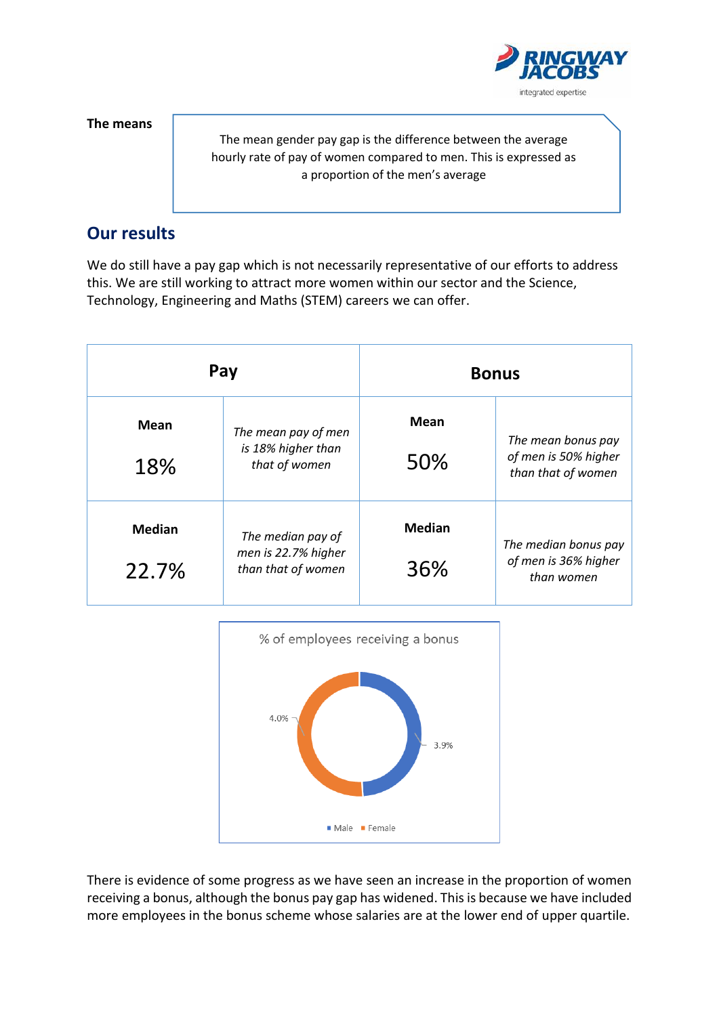integrated expertise

**The means** 

The mean gender pay gap is the difference between the average hourly rate of pay of women compared to men. This is expressed as a proportion of the men's average

## **Our results**

We do still have a pay gap which is not necessarily representative of our efforts to address this. We are still working to attract more women within our sector and the Science, Technology, Engineering and Maths (STEM) careers we can offer.

| Pay                    |                                                                | <b>Bonus</b>         |                                                                  |
|------------------------|----------------------------------------------------------------|----------------------|------------------------------------------------------------------|
| Mean<br>18%            | The mean pay of men<br>is 18% higher than<br>that of women     | <b>Mean</b><br>50%   | The mean bonus pay<br>of men is 50% higher<br>than that of women |
| <b>Median</b><br>22.7% | The median pay of<br>men is 22.7% higher<br>than that of women | <b>Median</b><br>36% | The median bonus pay<br>of men is 36% higher<br>than women       |



There is evidence of some progress as we have seen an increase in the proportion of women receiving a bonus, although the bonus pay gap has widened. This is because we have included more employees in the bonus scheme whose salaries are at the lower end of upper quartile.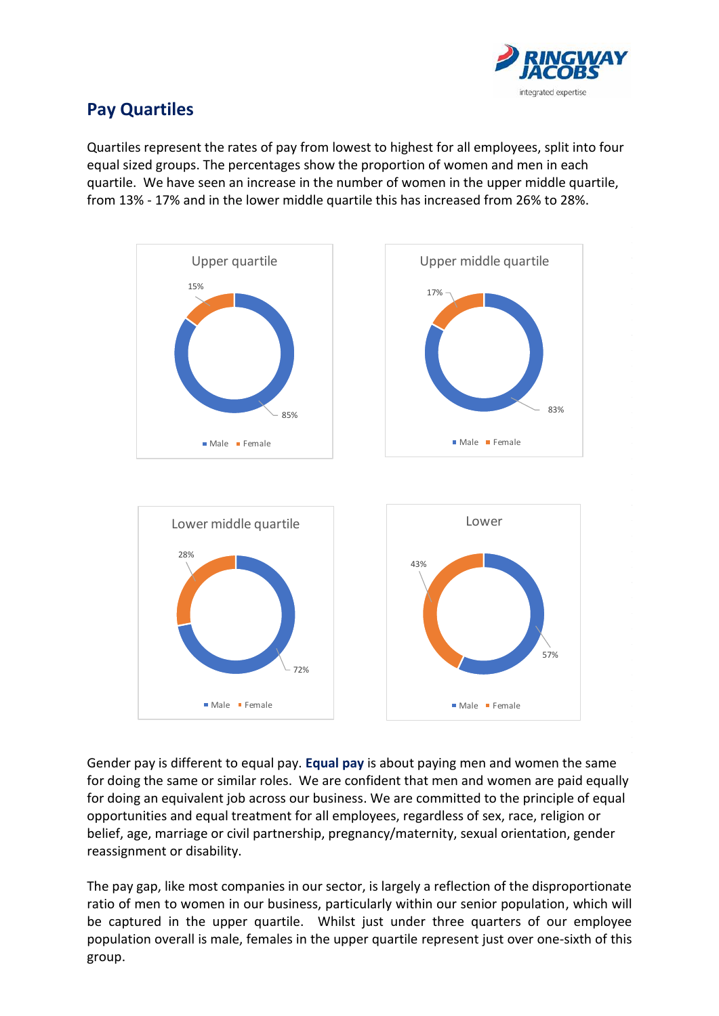

# **Pay Quartiles**

Quartiles represent the rates of pay from lowest to highest for all employees, split into four equal sized groups. The percentages show the proportion of women and men in each quartile. We have seen an increase in the number of women in the upper middle quartile, from 13% - 17% and in the lower middle quartile this has increased from 26% to 28%.



Gender pay is different to equal pay. **Equal pay** is about paying men and women the same for doing the same or similar roles. We are confident that men and women are paid equally for doing an equivalent job across our business. We are committed to the principle of equal opportunities and equal treatment for all employees, regardless of sex, race, religion or belief, age, marriage or civil partnership, pregnancy/maternity, sexual orientation, gender reassignment or disability.

The pay gap, like most companies in our sector, is largely a reflection of the disproportionate ratio of men to women in our business, particularly within our senior population, which will be captured in the upper quartile. Whilst just under three quarters of our employee population overall is male, females in the upper quartile represent just over one-sixth of this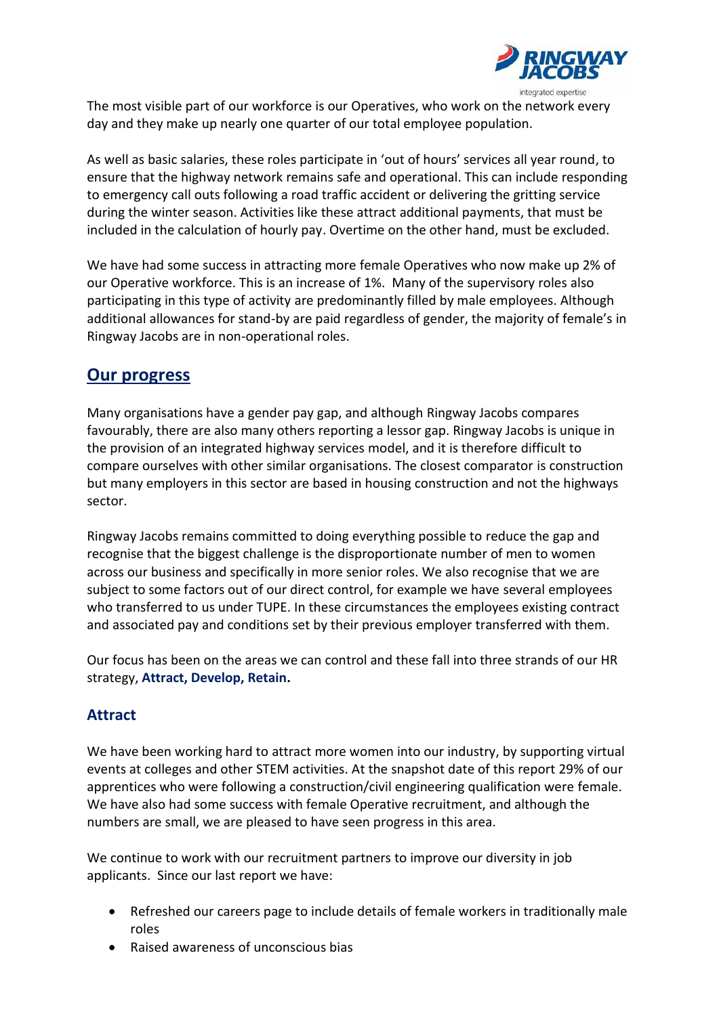

The most visible part of our workforce is our Operatives, who work on the network every day and they make up nearly one quarter of our total employee population.

As well as basic salaries, these roles participate in 'out of hours' services all year round, to ensure that the highway network remains safe and operational. This can include responding to emergency call outs following a road traffic accident or delivering the gritting service during the winter season. Activities like these attract additional payments, that must be included in the calculation of hourly pay. Overtime on the other hand, must be excluded.

We have had some success in attracting more female Operatives who now make up 2% of our Operative workforce. This is an increase of 1%. Many of the supervisory roles also participating in this type of activity are predominantly filled by male employees. Although additional allowances for stand-by are paid regardless of gender, the majority of female's in Ringway Jacobs are in non-operational roles.

## **Our progress**

Many organisations have a gender pay gap, and although Ringway Jacobs compares favourably, there are also many others reporting a lessor gap. Ringway Jacobs is unique in the provision of an integrated highway services model, and it is therefore difficult to compare ourselves with other similar organisations. The closest comparator is construction but many employers in this sector are based in housing construction and not the highways sector.

Ringway Jacobs remains committed to doing everything possible to reduce the gap and recognise that the biggest challenge is the disproportionate number of men to women across our business and specifically in more senior roles. We also recognise that we are subject to some factors out of our direct control, for example we have several employees who transferred to us under TUPE. In these circumstances the employees existing contract and associated pay and conditions set by their previous employer transferred with them.

Our focus has been on the areas we can control and these fall into three strands of our HR strategy, **Attract, Develop, Retain.**

### **Attract**

We have been working hard to attract more women into our industry, by supporting virtual events at colleges and other STEM activities. At the snapshot date of this report 29% of our apprentices who were following a construction/civil engineering qualification were female. We have also had some success with female Operative recruitment, and although the numbers are small, we are pleased to have seen progress in this area.

We continue to work with our recruitment partners to improve our diversity in job applicants. Since our last report we have:

- Refreshed our careers page to include details of female workers in traditionally male roles
- Raised awareness of unconscious bias